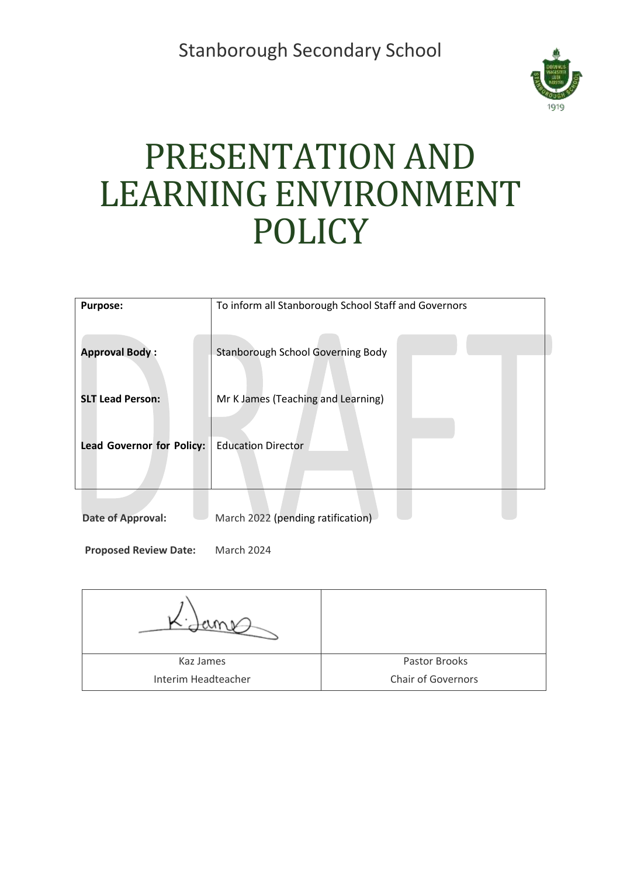Stanborough Secondary School



# PRESENTATION AND LEARNING ENVIRONMENT **POLICY**

| <b>Purpose:</b>                  | To inform all Stanborough School Staff and Governors |  |
|----------------------------------|------------------------------------------------------|--|
| <b>Approval Body:</b>            | <b>Stanborough School Governing Body</b>             |  |
| <b>SLT Lead Person:</b>          | Mr K James (Teaching and Learning)                   |  |
| <b>Lead Governor for Policy:</b> | <b>Education Director</b>                            |  |
| Date of Approval:                | March 2022 (pending ratification)                    |  |

**Proposed Review Date:** March 2024

| Kaz James           | Pastor Brooks             |
|---------------------|---------------------------|
| Interim Headteacher | <b>Chair of Governors</b> |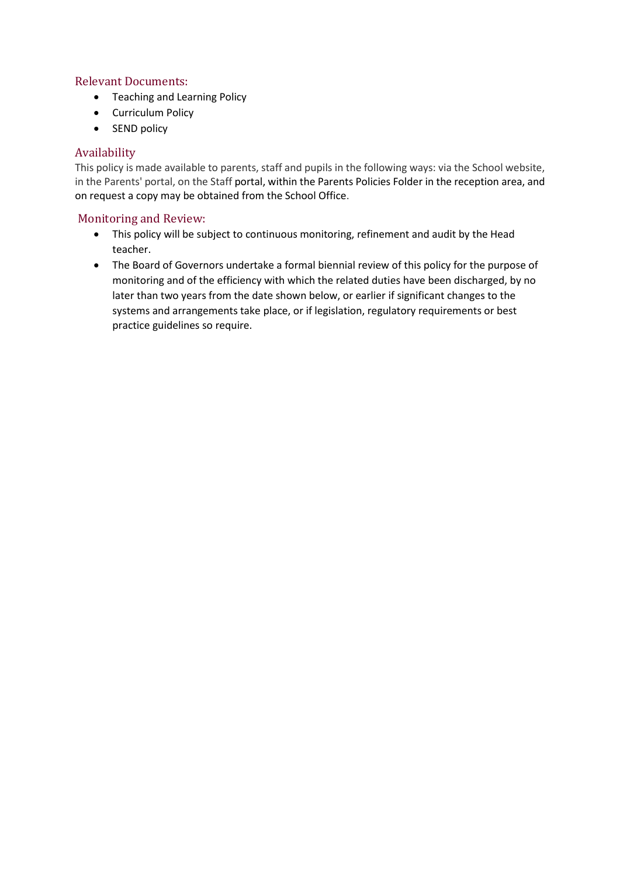#### Relevant Documents:

- Teaching and Learning Policy
- Curriculum Policy
- SEND policy

#### Availability

This policy is made available to parents, staff and pupils in the following ways: via the School website, in the Parents' portal, on the Staff portal, within the Parents Policies Folder in the reception area, and on request a copy may be obtained from the School Office.

#### Monitoring and Review:

- This policy will be subject to continuous monitoring, refinement and audit by the Head teacher.
- The Board of Governors undertake a formal biennial review of this policy for the purpose of monitoring and of the efficiency with which the related duties have been discharged, by no later than two years from the date shown below, or earlier if significant changes to the systems and arrangements take place, or if legislation, regulatory requirements or best practice guidelines so require.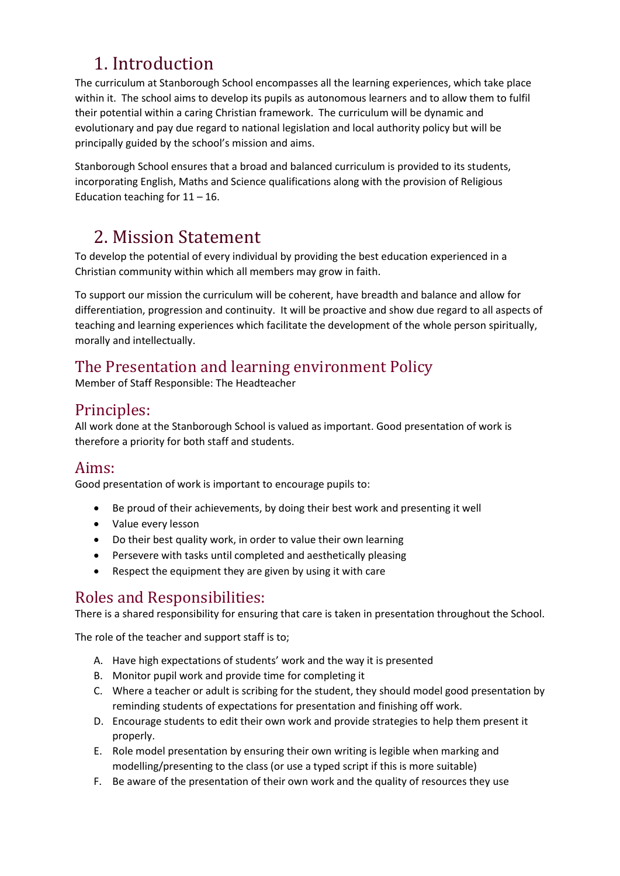# 1. Introduction

The curriculum at Stanborough School encompasses all the learning experiences, which take place within it. The school aims to develop its pupils as autonomous learners and to allow them to fulfil their potential within a caring Christian framework. The curriculum will be dynamic and evolutionary and pay due regard to national legislation and local authority policy but will be principally guided by the school's mission and aims.

Stanborough School ensures that a broad and balanced curriculum is provided to its students, incorporating English, Maths and Science qualifications along with the provision of Religious Education teaching for  $11 - 16$ .

# 2. Mission Statement

To develop the potential of every individual by providing the best education experienced in a Christian community within which all members may grow in faith.

To support our mission the curriculum will be coherent, have breadth and balance and allow for differentiation, progression and continuity. It will be proactive and show due regard to all aspects of teaching and learning experiences which facilitate the development of the whole person spiritually, morally and intellectually.

## The Presentation and learning environment Policy

Member of Staff Responsible: The Headteacher

## Principles:

All work done at the Stanborough School is valued as important. Good presentation of work is therefore a priority for both staff and students.

## Aims:

Good presentation of work is important to encourage pupils to:

- Be proud of their achievements, by doing their best work and presenting it well
- Value every lesson
- Do their best quality work, in order to value their own learning
- Persevere with tasks until completed and aesthetically pleasing
- Respect the equipment they are given by using it with care

## Roles and Responsibilities:

There is a shared responsibility for ensuring that care is taken in presentation throughout the School.

The role of the teacher and support staff is to;

- A. Have high expectations of students' work and the way it is presented
- B. Monitor pupil work and provide time for completing it
- C. Where a teacher or adult is scribing for the student, they should model good presentation by reminding students of expectations for presentation and finishing off work.
- D. Encourage students to edit their own work and provide strategies to help them present it properly.
- E. Role model presentation by ensuring their own writing is legible when marking and modelling/presenting to the class (or use a typed script if this is more suitable)
- F. Be aware of the presentation of their own work and the quality of resources they use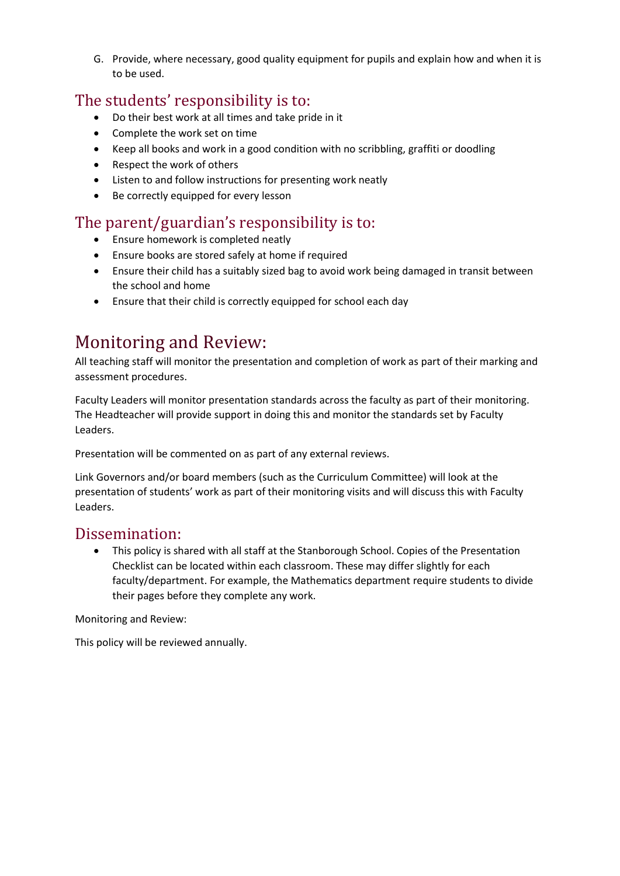G. Provide, where necessary, good quality equipment for pupils and explain how and when it is to be used.

#### The students' responsibility is to:

- Do their best work at all times and take pride in it
- Complete the work set on time
- Keep all books and work in a good condition with no scribbling, graffiti or doodling
- Respect the work of others
- Listen to and follow instructions for presenting work neatly
- Be correctly equipped for every lesson

#### The parent/guardian's responsibility is to:

- Ensure homework is completed neatly
- Ensure books are stored safely at home if required
- Ensure their child has a suitably sized bag to avoid work being damaged in transit between the school and home
- Ensure that their child is correctly equipped for school each day

## Monitoring and Review:

All teaching staff will monitor the presentation and completion of work as part of their marking and assessment procedures.

Faculty Leaders will monitor presentation standards across the faculty as part of their monitoring. The Headteacher will provide support in doing this and monitor the standards set by Faculty Leaders.

Presentation will be commented on as part of any external reviews.

Link Governors and/or board members (such as the Curriculum Committee) will look at the presentation of students' work as part of their monitoring visits and will discuss this with Faculty Leaders.

#### Dissemination:

• This policy is shared with all staff at the Stanborough School. Copies of the Presentation Checklist can be located within each classroom. These may differ slightly for each faculty/department. For example, the Mathematics department require students to divide their pages before they complete any work.

Monitoring and Review:

This policy will be reviewed annually.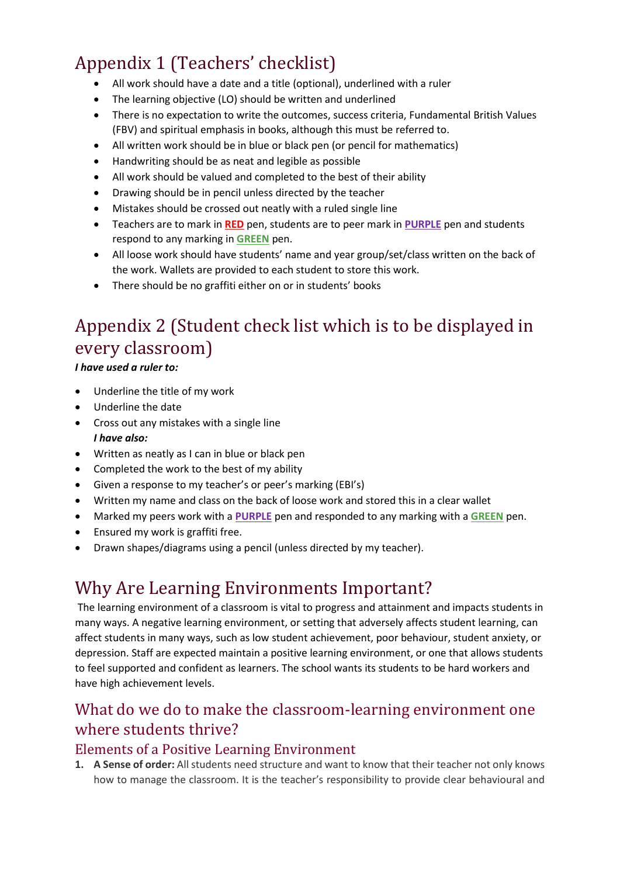# Appendix 1 (Teachers' checklist)

- All work should have a date and a title (optional), underlined with a ruler
- The learning objective (LO) should be written and underlined
- There is no expectation to write the outcomes, success criteria, Fundamental British Values (FBV) and spiritual emphasis in books, although this must be referred to.
- All written work should be in blue or black pen (or pencil for mathematics)
- Handwriting should be as neat and legible as possible
- All work should be valued and completed to the best of their ability
- Drawing should be in pencil unless directed by the teacher
- Mistakes should be crossed out neatly with a ruled single line
- Teachers are to mark in **RED** pen, students are to peer mark in **PURPLE** pen and students respond to any marking in **GREEN** pen.
- All loose work should have students' name and year group/set/class written on the back of the work. Wallets are provided to each student to store this work.
- There should be no graffiti either on or in students' books

# Appendix 2 (Student check list which is to be displayed in every classroom)

*I have used a ruler to:*

- Underline the title of my work
- Underline the date
- Cross out any mistakes with a single line *I have also:*
- Written as neatly as I can in blue or black pen
- Completed the work to the best of my ability
- Given a response to my teacher's or peer's marking (EBI's)
- Written my name and class on the back of loose work and stored this in a clear wallet
- Marked my peers work with a **PURPLE** pen and responded to any marking with a **GREEN** pen.
- Ensured my work is graffiti free.
- Drawn shapes/diagrams using a pencil (unless directed by my teacher).

# Why Are Learning Environments Important?

The learning environment of a classroom is vital to progress and attainment and impacts students in many ways. A negative learning environment, or setting that adversely affects student learning, can affect students in many ways, such as low student achievement, poor behaviour, student anxiety, or depression. Staff are expected maintain a positive learning environment, or one that allows students to feel supported and confident as learners. The school wants its students to be hard workers and have high achievement levels.

## What do we do to make the classroom-learning environment one where students thrive?

#### Elements of a Positive Learning Environment

**1. A Sense of order:** All students need structure and want to know that their teacher not only knows how to manage the classroom. It is the teacher's responsibility to provide clear behavioural and